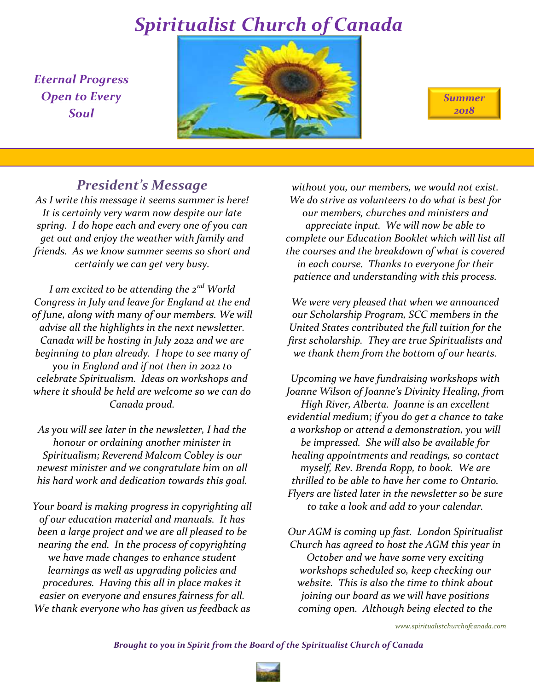*Eternal Progress Open to Every Soul*





## *President's Message*

*As I write this message it seems summer is here! It is certainly very warm now despite our late spring. I do hope each and every one of you can get out and enjoy the weather with family and friends. As we know summer seems so short and certainly we can get very busy.*

*I am excited to be attending the 2nd World Congress in July and leave for England at the end of June, along with many of our members. We will advise all the highlights in the next newsletter. Canada will be hosting in July 2022 and we are beginning to plan already. I hope to see many of you in England and if not then in 2022 to celebrate Spiritualism. Ideas on workshops and where it should be held are welcome so we can do Canada proud.*

*As you will see later in the newsletter, I had the honour or ordaining another minister in Spiritualism; Reverend Malcom Cobley is our newest minister and we congratulate him on all his hard work and dedication towards this goal.*

*Your board is making progress in copyrighting all of our education material and manuals. It has been a large project and we are all pleased to be nearing the end. In the process of copyrighting we have made changes to enhance student learnings as well as upgrading policies and procedures. Having this all in place makes it easier on everyone and ensures fairness for all. We thank everyone who has given us feedback as* 

*without you, our members, we would not exist. We do strive as volunteers to do what is best for our members, churches and ministers and appreciate input. We will now be able to complete our Education Booklet which will list all the courses and the breakdown of what is covered in each course. Thanks to everyone for their patience and understanding with this process.*

*We were very pleased that when we announced our Scholarship Program, SCC members in the United States contributed the full tuition for the first scholarship. They are true Spiritualists and we thank them from the bottom of our hearts.*

*Upcoming we have fundraising workshops with Joanne Wilson of Joanne's Divinity Healing, from High River, Alberta. Joanne is an excellent evidential medium; if you do get a chance to take a workshop or attend a demonstration, you will be impressed. She will also be available for healing appointments and readings, so contact myself, Rev. Brenda Ropp, to book. We are thrilled to be able to have her come to Ontario. Flyers are listed later in the newsletter so be sure to take a look and add to your calendar.*

*Our AGM is coming up fast. London Spiritualist Church has agreed to host the AGM this year in October and we have some very exciting workshops scheduled so, keep checking our website. This is also the time to think about joining our board as we will have positions coming open. Although being elected to the* 

*www.spiritualistchurchofcanada.com*

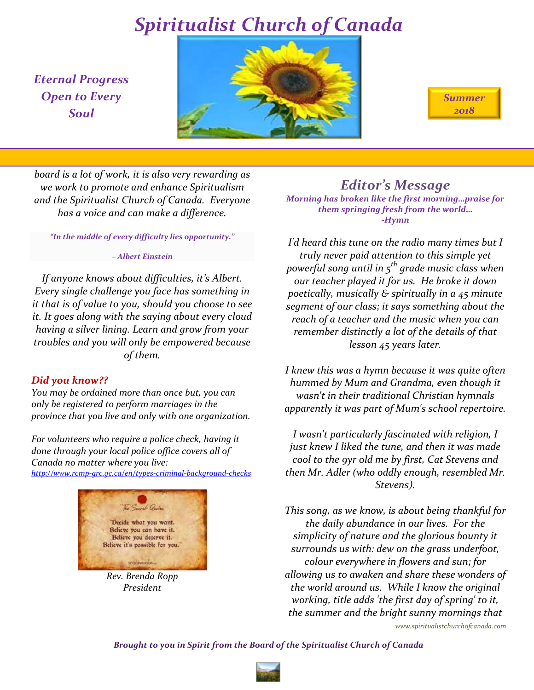*Eternal Progress Open to Every Soul*





*board is a lot of work, it is also very rewarding as we work to promote and enhance Spiritualism and the Spiritualist Church of Canada. Everyone has a voice and can make a difference.*

*"In the middle of every difficulty lies opportunity."* 

#### *– Albert Einstein*

*If anyone knows about difficulties, it's Albert. Every single challenge you face has something in it that is of value to you, should you choose to see it. It goes along with the saying about every cloud having a silver lining. Learn and grow from your troubles and you will only be empowered because of them.*

### *Did you know??*

*You may be ordained more than once but, you can only be registered to perform marriages in the province that you live and only with one organization.*

*For volunteers who require a police check, having it done through your local police office covers all of Canada no matter where you live: <http://www.rcmp-grc.gc.ca/en/types-criminal-background-checks>*



*Rev. Brenda Ropp President*

*Editor's Message*

*Morning has broken like the first morning…praise for them springing fresh from the world… -Hymn*

*I'd heard this tune on the radio many times but I truly never paid attention to this simple yet powerful song until in 5th grade music class when our teacher played it for us. He broke it down poetically, musically & spiritually in a 45 minute segment of our class; it says something about the reach of a teacher and the music when you can remember distinctly a lot of the details of that lesson 45 years later.*

*I knew this was a hymn because it was quite often hummed by Mum and Grandma, even though it wasn't in their traditional Christian hymnals apparently it was part of Mum's school repertoire.* 

*I wasn't particularly fascinated with religion, I just knew I liked the tune, and then it was made cool to the 9yr old me by first, Cat Stevens and then Mr. Adler (who oddly enough, resembled Mr. Stevens).*

*This song, as we know, is about being thankful for the daily abundance in our lives. For the simplicity of nature and the glorious bounty it surrounds us with: dew on the grass underfoot, colour everywhere in flowers and sun; for allowing us to awaken and share these wonders of the world around us. While I know the original working, title adds 'the first day of spring' to it, the summer and the bright sunny mornings that* 

*www.spiritualistchurchofcanada.com*

*Brought to you in Spirit from the Board of the Spiritualist Church of Canada*

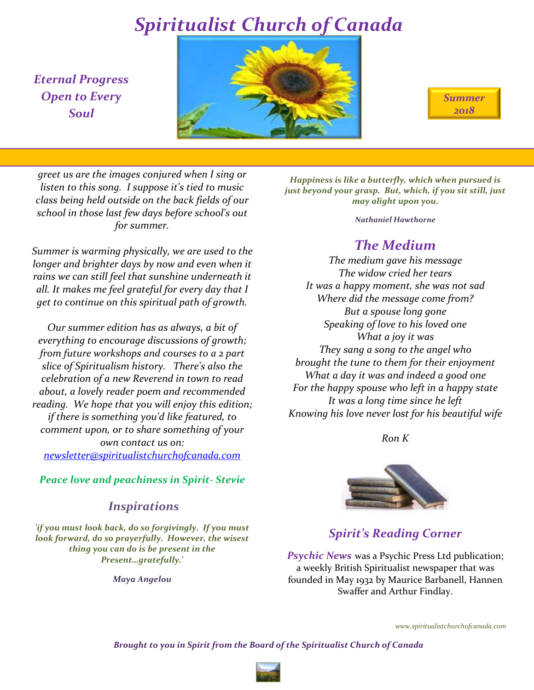*Eternal Progress Open to Every Soul*



| <b>Summer</b> |  |
|---------------|--|
| 2018          |  |

*greet us are the images conjured when I sing or listen to this song. I suppose it's tied to music class being held outside on the back fields of our school in those last few days before school's out for summer.* 

*Summer is warming physically, we are used to the longer and brighter days by now and even when it rains we can still feel that sunshine underneath it all. It makes me feel grateful for every day that I get to continue on this spiritual path of growth.*

*Our summer edition has as always, a bit of everything to encourage discussions of growth; from future workshops and courses to a 2 part slice of Spiritualism history. There's also the celebration of a new Reverend in town to read about, a lovely reader poem and recommended reading. We hope that you will enjoy this edition; if there is something you'd like featured, to comment upon, or to share something of your own contact us on: [newsletter@spiritualistchurchofcanada.com](mailto:newsletter@spiritualistchurchofcanada.com)*

*Peace love and peachiness in Spirit- Stevie*

## *Inspirations*

*'if you must look back, do so forgivingly. If you must look forward, do so prayerfully. However, the wisest thing you can do is be present in the Present…gratefully.'*

*Maya Angelou*

*Happiness is like a butterfly, which when pursued is just beyond your grasp. But, which, if you sit still, just may alight upon you.*

*Nathaniel Hawthorne*

## *The Medium*

*The medium gave his message The widow cried her tears It was a happy moment, she was not sad Where did the message come from? But a spouse long gone Speaking of love to his loved one What a joy it was They sang a song to the angel who brought the tune to them for their enjoyment What a day it was and indeed a good one For the happy spouse who left in a happy state It was a long time since he left Knowing his love never lost for his beautiful wife*

*Ron K*



### *Spirit's Reading Corner*

**Psychic News** was a Psychic Press Ltd publication; a weekly British Spiritualist newspaper that was founded in May 1932 by Maurice Barbanell, Hannen Swaffer and Arthur Findlay.

*www.spiritualistchurchofcanada.com*

*Brought to you in Spirit from the Board of the Spiritualist Church of Canada*

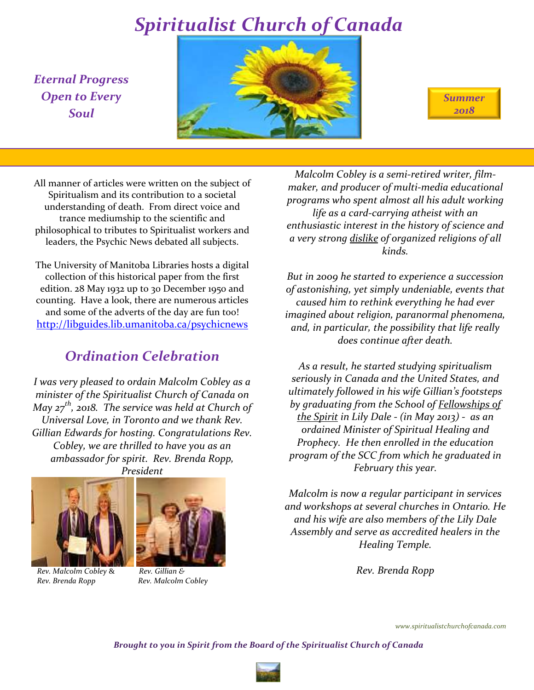*Eternal Progress Open to Every Soul*



*Summer 2018*

All manner of articles were written on the subject of Spiritualism and its contribution to a societal understanding of death. From direct voice and trance mediumship to the scientific and philosophical to tributes to Spiritualist workers and leaders, the Psychic News debated all subjects.

The University of Manitoba Libraries hosts a digital collection of this historical paper from the first edition. 28 May 1932 up to 30 December 1950 and counting. Have a look, there are numerous articles and some of the adverts of the day are fun too! <http://libguides.lib.umanitoba.ca/psychicnews>

## *Ordination Celebration*

*I was very pleased to ordain Malcolm Cobley as a minister of the Spiritualist Church of Canada on May 27th, 2018. The service was held at Church of Universal Love, in Toronto and we thank Rev. Gillian Edwards for hosting. Congratulations Rev. Cobley, we are thrilled to have you as an ambassador for spirit. Rev. Brenda Ropp, President*



 *Rev. Malcolm Cobley* & *Rev. Gillian & Rev. Brenda Ropp Rev. Malcolm Cobley*



*Malcolm Cobley is a semi-retired writer, filmmaker, and producer of multi-media educational programs who spent almost all his adult working life as a card-carrying atheist with an enthusiastic interest in the history of science and a very strong dislike of organized religions of all kinds.*

*But in 2009 he started to experience a succession of astonishing, yet simply undeniable, events that caused him to rethink everything he had ever imagined about religion, paranormal phenomena, and, in particular, the possibility that life really does continue after death.*

*As a result, he started studying spiritualism seriously in Canada and the United States, and ultimately followed in his wife Gillian's footsteps by graduating from the School of Fellowships of the Spirit in Lily Dale - (in May 2013) - as an ordained Minister of Spiritual Healing and Prophecy. He then enrolled in the education program of the SCC from which he graduated in February this year.*

*Malcolm is now a regular participant in services and workshops at several churches in Ontario. He and his wife are also members of the Lily Dale Assembly and serve as accredited healers in the Healing Temple.*

*Rev. Brenda Ropp*

*www.spiritualistchurchofcanada.com*

*Brought to you in Spirit from the Board of the Spiritualist Church of Canada*

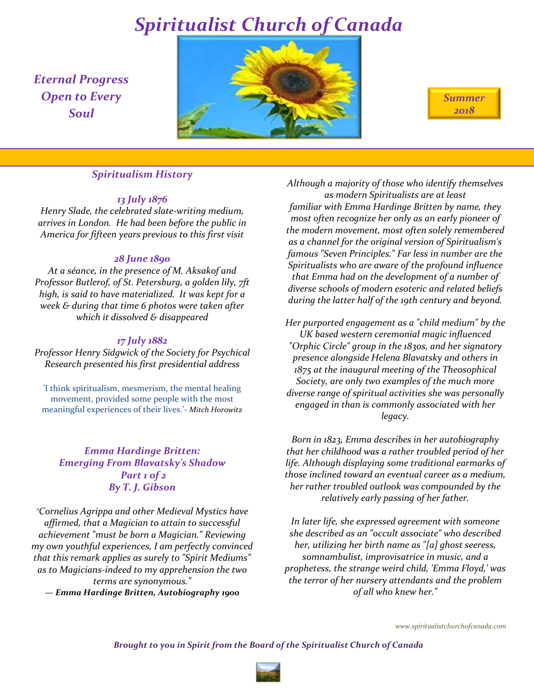*Eternal Progress Open to Every Soul*



*Summer 2018*

### *Spiritualism History*

#### *13 July 1876*

*Henry Slade, the celebrated slate-writing medium, arrives in London. He had been before the public in America for fifteen years previous to this first visit* 

#### *28 June 1890*

*At a séance, in the presence of M. Aksakof and Professor Butlerof, of St. Petersburg, a golden lily, 7ft high, is said to have materialized. It was kept for a week & during that time 6 photos were taken after which it dissolved & disappeared*

#### *17 July 1882*

*Professor Henry Sidgwick of the Society for Psychical Research presented his first presidential address*

'I think spiritualism, mesmerism, the mental healing movement, provided some people with the most meaningful experiences of their lives.'- *Mitch Horowitz*

### *Emma Hardinge Britten: Emerging From Blavatsky's Shadow Part 1 of 2 By T. J. Gibson*

*"Cornelius Agrippa and other Medieval Mystics have affirmed, that a Magician to attain to successful achievement "must be born a Magician." Reviewing my own youthful experiences, I am perfectly convinced that this remark applies as surely to "Spirit Mediums" as to Magicians-indeed to my apprehension the two terms are synonymous."*

*— Emma Hardinge Britten, Autobiography 1900*

*Although a majority of those who identify themselves as modern Spiritualists are at least familiar with Emma Hardinge Britten by name, they most often recognize her only as an early pioneer of the modern movement, most often solely remembered as a channel for the original version of Spiritualism's famous "Seven Principles." Far less in number are the Spiritualists who are aware of the profound influence that Emma had on the development of a number of diverse schools of modern esoteric and related beliefs during the latter half of the 19th century and beyond.* 

*Her purported engagement as a "child medium" by the UK based western ceremonial magic influenced "Orphic Circle" group in the 1830s, and her signatory presence alongside Helena Blavatsky and others in 1875 at the inaugural meeting of the Theosophical Society, are only two examples of the much more diverse range of spiritual activities she was personally engaged in than is commonly associated with her legacy.*

*Born in 1823, Emma describes in her autobiography that her childhood was a rather troubled period of her life. Although displaying some traditional earmarks of those inclined toward an eventual career as a medium, her rather troubled outlook was compounded by the relatively early passing of her father.* 

*In later life, she expressed agreement with someone she described as an "occult associate" who described her, utilizing her birth name as "[a] ghost seeress, somnambulist, improvisatrice in music, and a prophetess, the strange weird child, 'Emma Floyd,' was the terror of her nursery attendants and the problem of all who knew her."*

*www.spiritualistchurchofcanada.com*